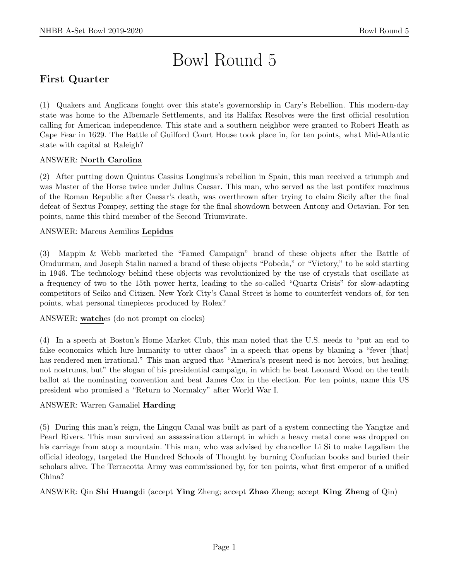# Bowl Round 5

# First Quarter

(1) Quakers and Anglicans fought over this state's governorship in Cary's Rebellion. This modern-day state was home to the Albemarle Settlements, and its Halifax Resolves were the first official resolution calling for American independence. This state and a southern neighbor were granted to Robert Heath as Cape Fear in 1629. The Battle of Guilford Court House took place in, for ten points, what Mid-Atlantic state with capital at Raleigh?

## ANSWER: North Carolina

(2) After putting down Quintus Cassius Longinus's rebellion in Spain, this man received a triumph and was Master of the Horse twice under Julius Caesar. This man, who served as the last pontifex maximus of the Roman Republic after Caesar's death, was overthrown after trying to claim Sicily after the final defeat of Sextus Pompey, setting the stage for the final showdown between Antony and Octavian. For ten points, name this third member of the Second Triumvirate.

## ANSWER: Marcus Aemilius Lepidus

(3) Mappin & Webb marketed the "Famed Campaign" brand of these objects after the Battle of Omdurman, and Joseph Stalin named a brand of these objects "Pobeda," or "Victory," to be sold starting in 1946. The technology behind these objects was revolutionized by the use of crystals that oscillate at a frequency of two to the 15th power hertz, leading to the so-called "Quartz Crisis" for slow-adapting competitors of Seiko and Citizen. New York City's Canal Street is home to counterfeit vendors of, for ten points, what personal timepieces produced by Rolex?

ANSWER: watches (do not prompt on clocks)

(4) In a speech at Boston's Home Market Club, this man noted that the U.S. needs to "put an end to false economics which lure humanity to utter chaos" in a speech that opens by blaming a "fever [that] has rendered men irrational." This man argued that "America's present need is not heroics, but healing; not nostrums, but" the slogan of his presidential campaign, in which he beat Leonard Wood on the tenth ballot at the nominating convention and beat James Cox in the election. For ten points, name this US president who promised a "Return to Normalcy" after World War I.

#### ANSWER: Warren Gamaliel Harding

(5) During this man's reign, the Lingqu Canal was built as part of a system connecting the Yangtze and Pearl Rivers. This man survived an assassination attempt in which a heavy metal cone was dropped on his carriage from atop a mountain. This man, who was advised by chancellor Li Si to make Legalism the official ideology, targeted the Hundred Schools of Thought by burning Confucian books and buried their scholars alive. The Terracotta Army was commissioned by, for ten points, what first emperor of a unified China?

ANSWER: Qin Shi Huangdi (accept Ying Zheng; accept Zhao Zheng; accept King Zheng of Qin)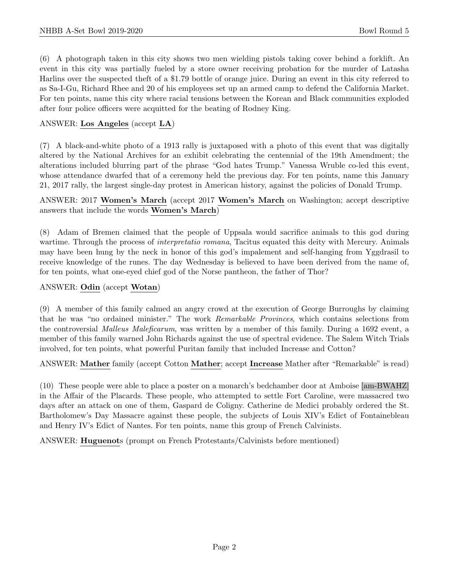(6) A photograph taken in this city shows two men wielding pistols taking cover behind a forklift. An event in this city was partially fueled by a store owner receiving probation for the murder of Latasha Harlins over the suspected theft of a \$1.79 bottle of orange juice. During an event in this city referred to as Sa-I-Gu, Richard Rhee and 20 of his employees set up an armed camp to defend the California Market. For ten points, name this city where racial tensions between the Korean and Black communities exploded after four police officers were acquitted for the beating of Rodney King.

#### ANSWER: Los Angeles (accept LA)

(7) A black-and-white photo of a 1913 rally is juxtaposed with a photo of this event that was digitally altered by the National Archives for an exhibit celebrating the centennial of the 19th Amendment; the alterations included blurring part of the phrase "God hates Trump." Vanessa Wruble co-led this event, whose attendance dwarfed that of a ceremony held the previous day. For ten points, name this January 21, 2017 rally, the largest single-day protest in American history, against the policies of Donald Trump.

#### ANSWER: 2017 Women's March (accept 2017 Women's March on Washington; accept descriptive answers that include the words Women's March)

(8) Adam of Bremen claimed that the people of Uppsala would sacrifice animals to this god during wartime. Through the process of *interpretatio romana*, Tacitus equated this deity with Mercury. Animals may have been hung by the neck in honor of this god's impalement and self-hanging from Yggdrasil to receive knowledge of the runes. The day Wednesday is believed to have been derived from the name of, for ten points, what one-eyed chief god of the Norse pantheon, the father of Thor?

## ANSWER: Odin (accept Wotan)

(9) A member of this family calmed an angry crowd at the execution of George Burroughs by claiming that he was "no ordained minister." The work Remarkable Provinces, which contains selections from the controversial Malleus Maleficarum, was written by a member of this family. During a 1692 event, a member of this family warned John Richards against the use of spectral evidence. The Salem Witch Trials involved, for ten points, what powerful Puritan family that included Increase and Cotton?

ANSWER: Mather family (accept Cotton Mather; accept Increase Mather after "Remarkable" is read)

(10) These people were able to place a poster on a monarch's bedchamber door at Amboise [am-BWAHZ] in the Affair of the Placards. These people, who attempted to settle Fort Caroline, were massacred two days after an attack on one of them, Gaspard de Coligny. Catherine de Medici probably ordered the St. Bartholomew's Day Massacre against these people, the subjects of Louis XIV's Edict of Fontainebleau and Henry IV's Edict of Nantes. For ten points, name this group of French Calvinists.

ANSWER: Huguenots (prompt on French Protestants/Calvinists before mentioned)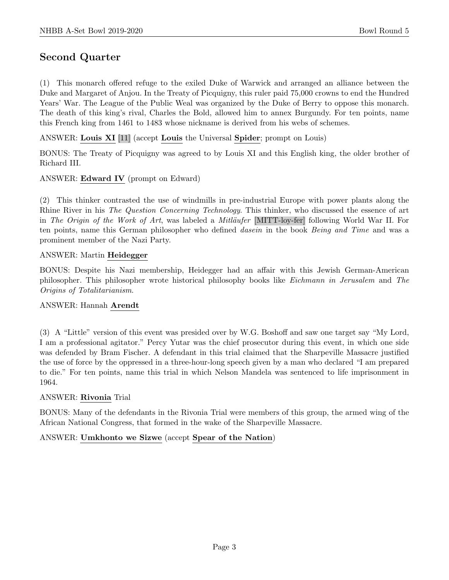# Second Quarter

(1) This monarch offered refuge to the exiled Duke of Warwick and arranged an alliance between the Duke and Margaret of Anjou. In the Treaty of Picquigny, this ruler paid 75,000 crowns to end the Hundred Years' War. The League of the Public Weal was organized by the Duke of Berry to oppose this monarch. The death of this king's rival, Charles the Bold, allowed him to annex Burgundy. For ten points, name this French king from 1461 to 1483 whose nickname is derived from his webs of schemes.

ANSWER: Louis XI [11] (accept Louis the Universal Spider; prompt on Louis)

BONUS: The Treaty of Picquigny was agreed to by Louis XI and this English king, the older brother of Richard III.

## ANSWER: Edward IV (prompt on Edward)

(2) This thinker contrasted the use of windmills in pre-industrial Europe with power plants along the Rhine River in his The Question Concerning Technology. This thinker, who discussed the essence of art in The Origin of the Work of Art, was labeled a Mitläufer [MITT-loy-fer] following World War II. For ten points, name this German philosopher who defined dasein in the book Being and Time and was a prominent member of the Nazi Party.

#### ANSWER: Martin Heidegger

BONUS: Despite his Nazi membership, Heidegger had an affair with this Jewish German-American philosopher. This philosopher wrote historical philosophy books like Eichmann in Jerusalem and The Origins of Totalitarianism.

#### ANSWER: Hannah Arendt

(3) A "Little" version of this event was presided over by W.G. Boshoff and saw one target say "My Lord, I am a professional agitator." Percy Yutar was the chief prosecutor during this event, in which one side was defended by Bram Fischer. A defendant in this trial claimed that the Sharpeville Massacre justified the use of force by the oppressed in a three-hour-long speech given by a man who declared "I am prepared to die." For ten points, name this trial in which Nelson Mandela was sentenced to life imprisonment in 1964.

#### ANSWER: Rivonia Trial

BONUS: Many of the defendants in the Rivonia Trial were members of this group, the armed wing of the African National Congress, that formed in the wake of the Sharpeville Massacre.

#### ANSWER: Umkhonto we Sizwe (accept Spear of the Nation)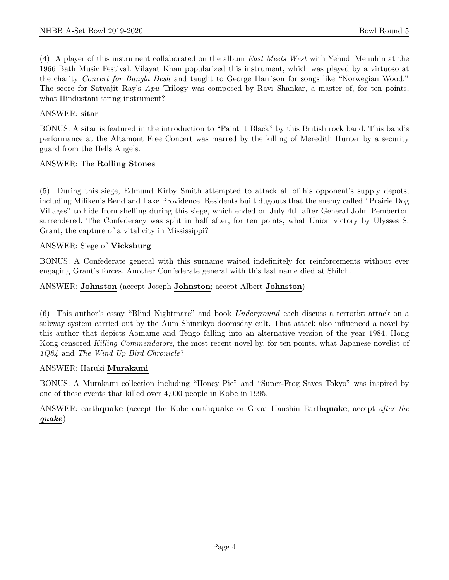(4) A player of this instrument collaborated on the album East Meets West with Yehudi Menuhin at the 1966 Bath Music Festival. Vilayat Khan popularized this instrument, which was played by a virtuoso at the charity Concert for Bangla Desh and taught to George Harrison for songs like "Norwegian Wood." The score for Satyajit Ray's Apu Trilogy was composed by Ravi Shankar, a master of, for ten points, what Hindustani string instrument?

#### ANSWER: sitar

BONUS: A sitar is featured in the introduction to "Paint it Black" by this British rock band. This band's performance at the Altamont Free Concert was marred by the killing of Meredith Hunter by a security guard from the Hells Angels.

#### ANSWER: The Rolling Stones

(5) During this siege, Edmund Kirby Smith attempted to attack all of his opponent's supply depots, including Miliken's Bend and Lake Providence. Residents built dugouts that the enemy called "Prairie Dog Villages" to hide from shelling during this siege, which ended on July 4th after General John Pemberton surrendered. The Confederacy was split in half after, for ten points, what Union victory by Ulysses S. Grant, the capture of a vital city in Mississippi?

#### ANSWER: Siege of Vicksburg

BONUS: A Confederate general with this surname waited indefinitely for reinforcements without ever engaging Grant's forces. Another Confederate general with this last name died at Shiloh.

#### ANSWER: Johnston (accept Joseph Johnston; accept Albert Johnston)

(6) This author's essay "Blind Nightmare" and book Underground each discuss a terrorist attack on a subway system carried out by the Aum Shinrikyo doomsday cult. That attack also influenced a novel by this author that depicts Aomame and Tengo falling into an alternative version of the year 1984. Hong Kong censored Killing Commendatore, the most recent novel by, for ten points, what Japanese novelist of 1Q84 and The Wind Up Bird Chronicle?

#### ANSWER: Haruki Murakami

BONUS: A Murakami collection including "Honey Pie" and "Super-Frog Saves Tokyo" was inspired by one of these events that killed over 4,000 people in Kobe in 1995.

ANSWER: earthquake (accept the Kobe earthquake or Great Hanshin Earthquake; accept after the quake)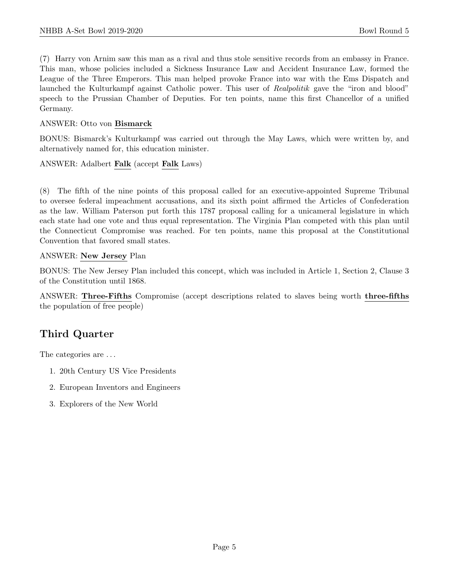(7) Harry von Arnim saw this man as a rival and thus stole sensitive records from an embassy in France. This man, whose policies included a Sickness Insurance Law and Accident Insurance Law, formed the League of the Three Emperors. This man helped provoke France into war with the Ems Dispatch and launched the Kulturkampf against Catholic power. This user of Realpolitik gave the "iron and blood" speech to the Prussian Chamber of Deputies. For ten points, name this first Chancellor of a unified Germany.

#### ANSWER: Otto von Bismarck

BONUS: Bismarck's Kulturkampf was carried out through the May Laws, which were written by, and alternatively named for, this education minister.

ANSWER: Adalbert Falk (accept Falk Laws)

(8) The fifth of the nine points of this proposal called for an executive-appointed Supreme Tribunal to oversee federal impeachment accusations, and its sixth point affirmed the Articles of Confederation as the law. William Paterson put forth this 1787 proposal calling for a unicameral legislature in which each state had one vote and thus equal representation. The Virginia Plan competed with this plan until the Connecticut Compromise was reached. For ten points, name this proposal at the Constitutional Convention that favored small states.

#### ANSWER: New Jersey Plan

BONUS: The New Jersey Plan included this concept, which was included in Article 1, Section 2, Clause 3 of the Constitution until 1868.

ANSWER: Three-Fifths Compromise (accept descriptions related to slaves being worth three-fifths the population of free people)

# Third Quarter

The categories are . . .

- 1. 20th Century US Vice Presidents
- 2. European Inventors and Engineers
- 3. Explorers of the New World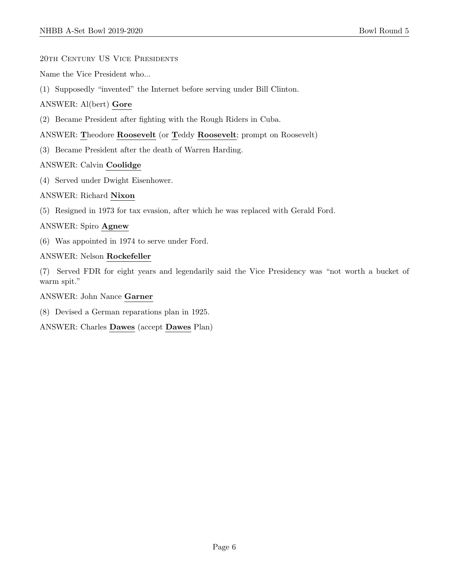20TH CENTURY US VICE PRESIDENTS

Name the Vice President who...

(1) Supposedly "invented" the Internet before serving under Bill Clinton.

ANSWER: Al(bert) Gore

(2) Became President after fighting with the Rough Riders in Cuba.

ANSWER: Theodore Roosevelt (or Teddy Roosevelt; prompt on Roosevelt)

(3) Became President after the death of Warren Harding.

#### ANSWER: Calvin Coolidge

(4) Served under Dwight Eisenhower.

#### ANSWER: Richard Nixon

(5) Resigned in 1973 for tax evasion, after which he was replaced with Gerald Ford.

#### ANSWER: Spiro Agnew

(6) Was appointed in 1974 to serve under Ford.

#### ANSWER: Nelson Rockefeller

(7) Served FDR for eight years and legendarily said the Vice Presidency was "not worth a bucket of warm spit."

ANSWER: John Nance Garner

(8) Devised a German reparations plan in 1925.

ANSWER: Charles Dawes (accept Dawes Plan)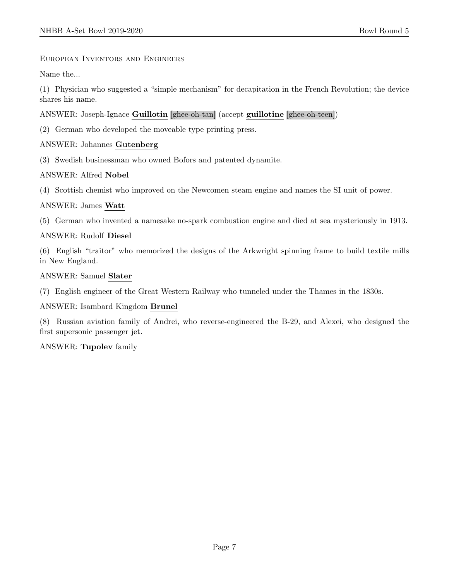#### European Inventors and Engineers

Name the...

(1) Physician who suggested a "simple mechanism" for decapitation in the French Revolution; the device shares his name.

#### ANSWER: Joseph-Ignace Guillotin [ghee-oh-tan] (accept guillotine [ghee-oh-teen])

(2) German who developed the moveable type printing press.

#### ANSWER: Johannes Gutenberg

(3) Swedish businessman who owned Bofors and patented dynamite.

#### ANSWER: Alfred Nobel

(4) Scottish chemist who improved on the Newcomen steam engine and names the SI unit of power.

#### ANSWER: James Watt

(5) German who invented a namesake no-spark combustion engine and died at sea mysteriously in 1913.

#### ANSWER: Rudolf Diesel

(6) English "traitor" who memorized the designs of the Arkwright spinning frame to build textile mills in New England.

ANSWER: Samuel Slater

(7) English engineer of the Great Western Railway who tunneled under the Thames in the 1830s.

#### ANSWER: Isambard Kingdom Brunel

(8) Russian aviation family of Andrei, who reverse-engineered the B-29, and Alexei, who designed the first supersonic passenger jet.

ANSWER: Tupolev family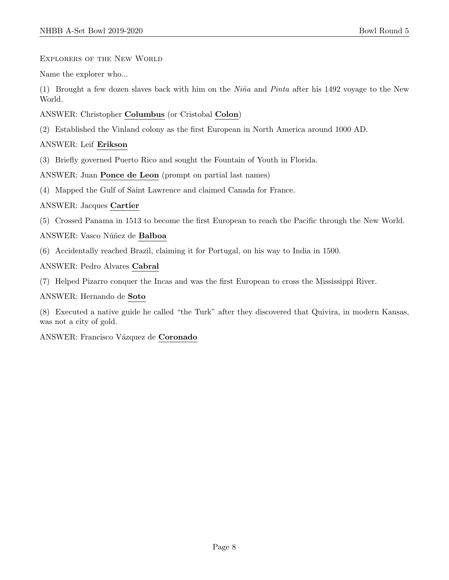Explorers of the New World

Name the explorer who...

(1) Brought a few dozen slaves back with him on the Ni $\tilde{m}$ a and Pinta after his 1492 voyage to the New World.

- ANSWER: Christopher Columbus (or Cristobal Colon)
- (2) Established the Vinland colony as the first European in North America around 1000 AD.

#### ANSWER: Leif Erikson

(3) Briefly governed Puerto Rico and sought the Fountain of Youth in Florida.

ANSWER: Juan Ponce de Leon (prompt on partial last names)

(4) Mapped the Gulf of Saint Lawrence and claimed Canada for France.

ANSWER: Jacques Cartier

(5) Crossed Panama in 1513 to become the first European to reach the Pacific through the New World.

ANSWER: Vasco Núñez de Balboa

(6) Accidentally reached Brazil, claiming it for Portugal, on his way to India in 1500.

ANSWER: Pedro Alvares Cabral

(7) Helped Pizarro conquer the Incas and was the first European to cross the Mississippi River.

ANSWER: Hernando de Soto

(8) Executed a native guide he called "the Turk" after they discovered that Quivira, in modern Kansas, was not a city of gold.

ANSWER: Francisco Vázquez de Coronado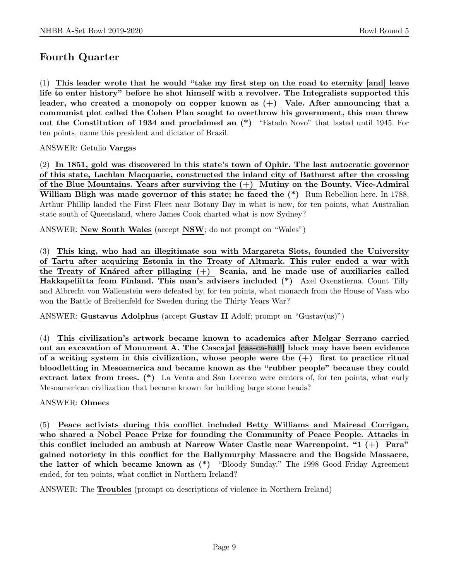# Fourth Quarter

(1) This leader wrote that he would "take my first step on the road to eternity [and] leave life to enter history" before he shot himself with a revolver. The Integralists supported this leader, who created a monopoly on copper known as (+) Vale. After announcing that a communist plot called the Cohen Plan sought to overthrow his government, this man threw out the Constitution of 1934 and proclaimed an (\*) "Estado Novo" that lasted until 1945. For ten points, name this president and dictator of Brazil.

#### ANSWER: Getulio Vargas

(2) In 1851, gold was discovered in this state's town of Ophir. The last autocratic governor of this state, Lachlan Macquarie, constructed the inland city of Bathurst after the crossing of the Blue Mountains. Years after surviving the  $(+)$  Mutiny on the Bounty, Vice-Admiral William Bligh was made governor of this state; he faced the  $(*)$  Rum Rebellion here. In 1788, Arthur Phillip landed the First Fleet near Botany Bay in what is now, for ten points, what Australian state south of Queensland, where James Cook charted what is now Sydney?

ANSWER: New South Wales (accept NSW; do not prompt on "Wales")

(3) This king, who had an illegitimate son with Margareta Slots, founded the University of Tartu after acquiring Estonia in the Treaty of Altmark. This ruler ended a war with the Treaty of Knass after pillaging  $(+)$  Scania, and he made use of auxiliaries called Hakkapeliitta from Finland. This man's advisers included (\*) Axel Oxenstierna. Count Tilly and Albrecht von Wallenstein were defeated by, for ten points, what monarch from the House of Vasa who won the Battle of Breitenfeld for Sweden during the Thirty Years War?

ANSWER: Gustavus Adolphus (accept Gustav II Adolf; prompt on "Gustav(us)")

(4) This civilization's artwork became known to academics after Melgar Serrano carried out an excavation of Monument A. The Cascajal [cas-ca-hall] block may have been evidence of a writing system in this civilization, whose people were the  $(+)$  first to practice ritual bloodletting in Mesoamerica and became known as the "rubber people" because they could extract latex from trees. (\*) La Venta and San Lorenzo were centers of, for ten points, what early Mesoamerican civilization that became known for building large stone heads?

#### ANSWER: Olmecs

(5) Peace activists during this conflict included Betty Williams and Mairead Corrigan, who shared a Nobel Peace Prize for founding the Community of Peace People. Attacks in this conflict included an ambush at Narrow Water Castle near Warrenpoint. "1 (+) Para" gained notoriety in this conflict for the Ballymurphy Massacre and the Bogside Massacre, the latter of which became known as (\*) "Bloody Sunday." The 1998 Good Friday Agreement ended, for ten points, what conflict in Northern Ireland?

ANSWER: The Troubles (prompt on descriptions of violence in Northern Ireland)